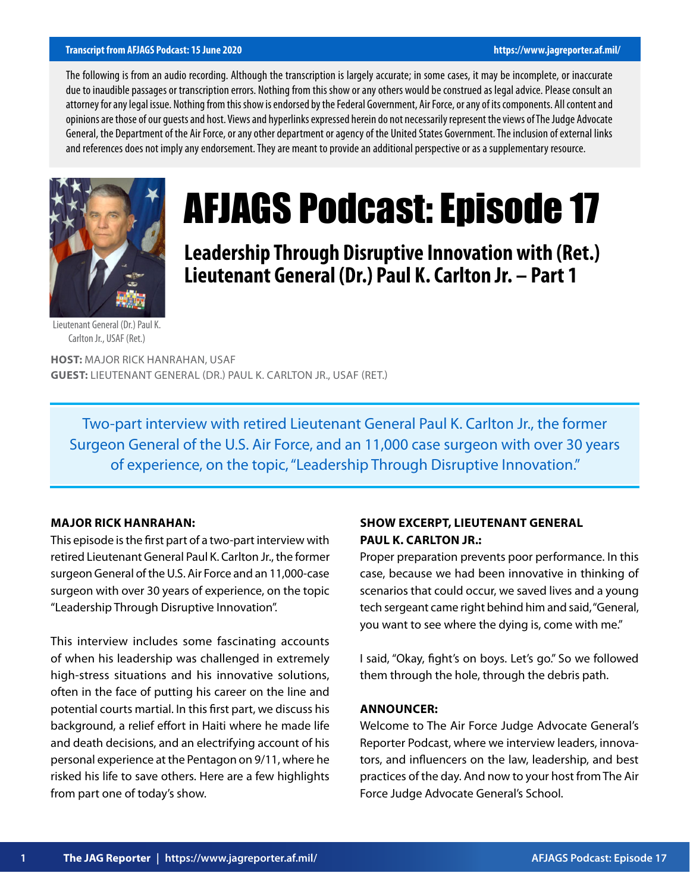#### **Transcript from AFJAGS Podcast: 15 June 2020 https://www.jagreporter.af.mil/**

The following is from an audio recording. Although the transcription is largely accurate; in some cases, it may be incomplete, or inaccurate due to inaudible passages or transcription errors. Nothing from this show or any others would be construed as legal advice. Please consult an attorney for any legal issue. Nothing from this show is endorsed by the Federal Government, Air Force, or any of its components. All content and opinions are those of our guests and host. Views and hyperlinks expressed herein do not necessarily represent the views of The Judge Advocate General, the Department of the Air Force, or any other department or agency of the United States Government. The inclusion of external links and references does not imply any endorsement. They are meant to provide an additional perspective or as a supplementary resource.



# AFJAGS Podcast: Episode 17

**Leadership Through Disruptive Innovation with (Ret.) Lieutenant General (Dr.) Paul K. Carlton Jr. – Part 1**

Lieutenant General (Dr.) Paul K. Carlton Jr., USAF (Ret.)

**HOST:** MAJOR RICK HANRAHAN, USAF **GUEST:** LIEUTENANT GENERAL (DR.) PAUL K. CARLTON JR., USAF (RET.)

Two-part interview with retired Lieutenant General Paul K. Carlton Jr., the former Surgeon General of the U.S. Air Force, and an 11,000 case surgeon with over 30 years of experience, on the topic, "Leadership Through Disruptive Innovation."

#### **MAJOR RICK HANRAHAN:**

This episode is the first part of a two-part interview with retired Lieutenant General Paul K. Carlton Jr., the former surgeon General of the U.S. Air Force and an 11,000-case surgeon with over 30 years of experience, on the topic "Leadership Through Disruptive Innovation".

This interview includes some fascinating accounts of when his leadership was challenged in extremely high-stress situations and his innovative solutions, often in the face of putting his career on the line and potential courts martial. In this first part, we discuss his background, a relief effort in Haiti where he made life and death decisions, and an electrifying account of his personal experience at the Pentagon on 9/11, where he risked his life to save others. Here are a few highlights from part one of today's show.

# **SHOW EXCERPT, LIEUTENANT GENERAL PAUL K. CARLTON JR.:**

Proper preparation prevents poor performance. In this case, because we had been innovative in thinking of scenarios that could occur, we saved lives and a young tech sergeant came right behind him and said, "General, you want to see where the dying is, come with me."

I said, "Okay, fight's on boys. Let's go." So we followed them through the hole, through the debris path.

#### **ANNOUNCER:**

Welcome to The Air Force Judge Advocate General's Reporter Podcast, where we interview leaders, innovators, and influencers on the law, leadership, and best practices of the day. And now to your host from The Air Force Judge Advocate General's School.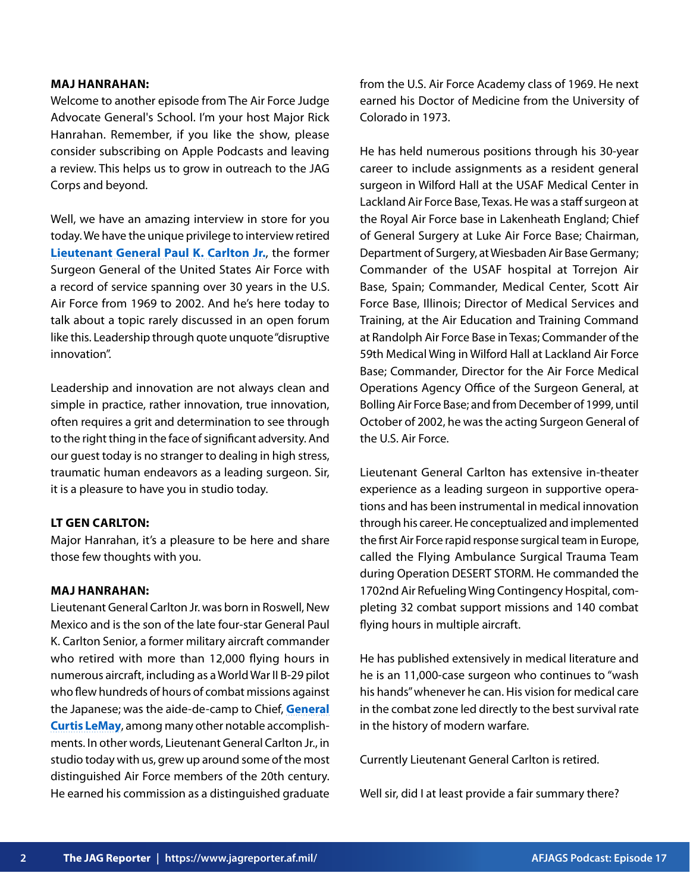#### **MAJ HANRAHAN:**

Welcome to another episode from The Air Force Judge Advocate General's School. I'm your host Major Rick Hanrahan. Remember, if you like the show, please consider subscribing on Apple Podcasts and leaving a review. This helps us to grow in outreach to the JAG Corps and beyond.

Well, we have an amazing interview in store for you today. We have the unique privilege to interview retired **[Lieutenant General Paul K. Carlton Jr.](https://www.af.mil/About-Us/Biographies/Display/Article/107461/lieutenant-general-dr-paul-k-carlton-jr/)**, the former Surgeon General of the United States Air Force with a record of service spanning over 30 years in the U.S. Air Force from 1969 to 2002. And he's here today to talk about a topic rarely discussed in an open forum like this. Leadership through quote unquote "disruptive innovation".

Leadership and innovation are not always clean and simple in practice, rather innovation, true innovation, often requires a grit and determination to see through to the right thing in the face of significant adversity. And our guest today is no stranger to dealing in high stress, traumatic human endeavors as a leading surgeon. Sir, it is a pleasure to have you in studio today.

# **LT GEN CARLTON:**

Major Hanrahan, it's a pleasure to be here and share those few thoughts with you.

# **MAJ HANRAHAN:**

Lieutenant General Carlton Jr. was born in Roswell, New Mexico and is the son of the late four-star General Paul K. Carlton Senior, a former military aircraft commander who retired with more than 12,000 flying hours in numerous aircraft, including as a World War II B-29 pilot who flew hundreds of hours of combat missions against the Japanese; was the aide-de-camp to Chief, **[General](https://www.af.mil/About-Us/Biographies/Display/Article/106462/general-curtis-emerson-lemay/) [Curtis LeMay](https://www.af.mil/About-Us/Biographies/Display/Article/106462/general-curtis-emerson-lemay/)**, among many other notable accomplishments. In other words, Lieutenant General Carlton Jr., in studio today with us, grew up around some of the most distinguished Air Force members of the 20th century. He earned his commission as a distinguished graduate from the U.S. Air Force Academy class of 1969. He next earned his Doctor of Medicine from the University of Colorado in 1973.

He has held numerous positions through his 30-year career to include assignments as a resident general surgeon in Wilford Hall at the USAF Medical Center in Lackland Air Force Base, Texas. He was a staff surgeon at the Royal Air Force base in Lakenheath England; Chief of General Surgery at Luke Air Force Base; Chairman, Department of Surgery, at Wiesbaden Air Base Germany; Commander of the USAF hospital at Torrejon Air Base, Spain; Commander, Medical Center, Scott Air Force Base, Illinois; Director of Medical Services and Training, at the Air Education and Training Command at Randolph Air Force Base in Texas; Commander of the 59th Medical Wing in Wilford Hall at Lackland Air Force Base; Commander, Director for the Air Force Medical Operations Agency Office of the Surgeon General, at Bolling Air Force Base; and from December of 1999, until October of 2002, he was the acting Surgeon General of the U.S. Air Force.

Lieutenant General Carlton has extensive in-theater experience as a leading surgeon in supportive operations and has been instrumental in medical innovation through his career. He conceptualized and implemented the first Air Force rapid response surgical team in Europe, called the Flying Ambulance Surgical Trauma Team during Operation DESERT STORM. He commanded the 1702nd Air Refueling Wing Contingency Hospital, completing 32 combat support missions and 140 combat flying hours in multiple aircraft.

He has published extensively in medical literature and he is an 11,000-case surgeon who continues to "wash his hands" whenever he can. His vision for medical care in the combat zone led directly to the best survival rate in the history of modern warfare.

Currently Lieutenant General Carlton is retired.

Well sir, did I at least provide a fair summary there?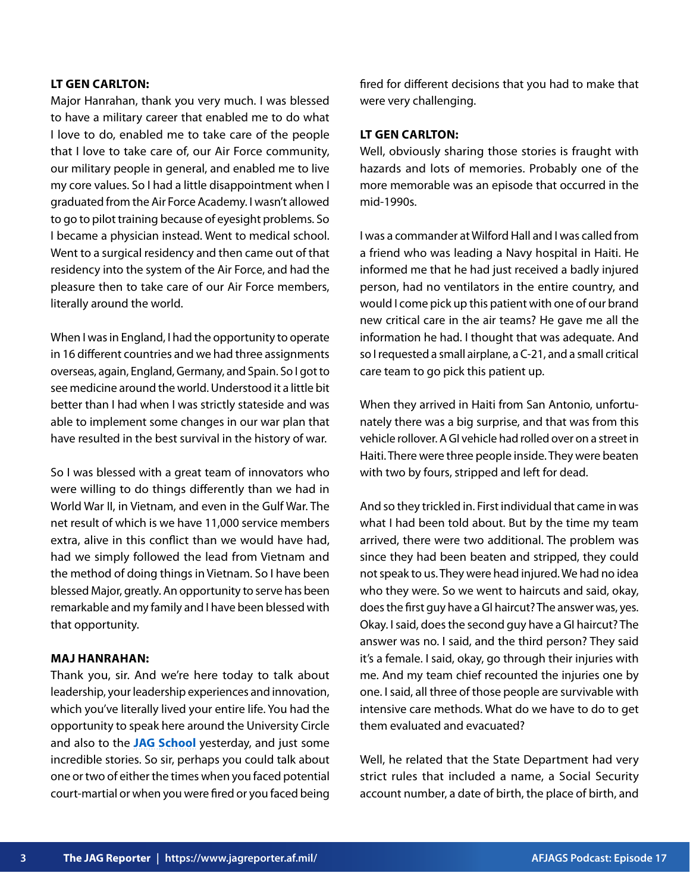# **LT GEN CARLTON:**

Major Hanrahan, thank you very much. I was blessed to have a military career that enabled me to do what I love to do, enabled me to take care of the people that I love to take care of, our Air Force community, our military people in general, and enabled me to live my core values. So I had a little disappointment when I graduated from the Air Force Academy. I wasn't allowed to go to pilot training because of eyesight problems. So I became a physician instead. Went to medical school. Went to a surgical residency and then came out of that residency into the system of the Air Force, and had the pleasure then to take care of our Air Force members, literally around the world.

When I was in England, I had the opportunity to operate in 16 different countries and we had three assignments overseas, again, England, Germany, and Spain. So I got to see medicine around the world. Understood it a little bit better than I had when I was strictly stateside and was able to implement some changes in our war plan that have resulted in the best survival in the history of war.

So I was blessed with a great team of innovators who were willing to do things differently than we had in World War II, in Vietnam, and even in the Gulf War. The net result of which is we have 11,000 service members extra, alive in this conflict than we would have had, had we simply followed the lead from Vietnam and the method of doing things in Vietnam. So I have been blessed Major, greatly. An opportunity to serve has been remarkable and my family and I have been blessed with that opportunity.

# **MAJ HANRAHAN:**

Thank you, sir. And we're here today to talk about leadership, your leadership experiences and innovation, which you've literally lived your entire life. You had the opportunity to speak here around the University Circle and also to the **[JAG School](https://www.afjag.af.mil/JAG-School/)** yesterday, and just some incredible stories. So sir, perhaps you could talk about one or two of either the times when you faced potential court-martial or when you were fired or you faced being fired for different decisions that you had to make that were very challenging.

#### **LT GEN CARLTON:**

Well, obviously sharing those stories is fraught with hazards and lots of memories. Probably one of the more memorable was an episode that occurred in the mid-1990s.

I was a commander at Wilford Hall and I was called from a friend who was leading a Navy hospital in Haiti. He informed me that he had just received a badly injured person, had no ventilators in the entire country, and would I come pick up this patient with one of our brand new critical care in the air teams? He gave me all the information he had. I thought that was adequate. And so I requested a small airplane, a C-21, and a small critical care team to go pick this patient up.

When they arrived in Haiti from San Antonio, unfortunately there was a big surprise, and that was from this vehicle rollover. A GI vehicle had rolled over on a street in Haiti. There were three people inside. They were beaten with two by fours, stripped and left for dead.

And so they trickled in. First individual that came in was what I had been told about. But by the time my team arrived, there were two additional. The problem was since they had been beaten and stripped, they could not speak to us. They were head injured. We had no idea who they were. So we went to haircuts and said, okay, does the first guy have a GI haircut? The answer was, yes. Okay. I said, does the second guy have a GI haircut? The answer was no. I said, and the third person? They said it's a female. I said, okay, go through their injuries with me. And my team chief recounted the injuries one by one. I said, all three of those people are survivable with intensive care methods. What do we have to do to get them evaluated and evacuated?

Well, he related that the State Department had very strict rules that included a name, a Social Security account number, a date of birth, the place of birth, and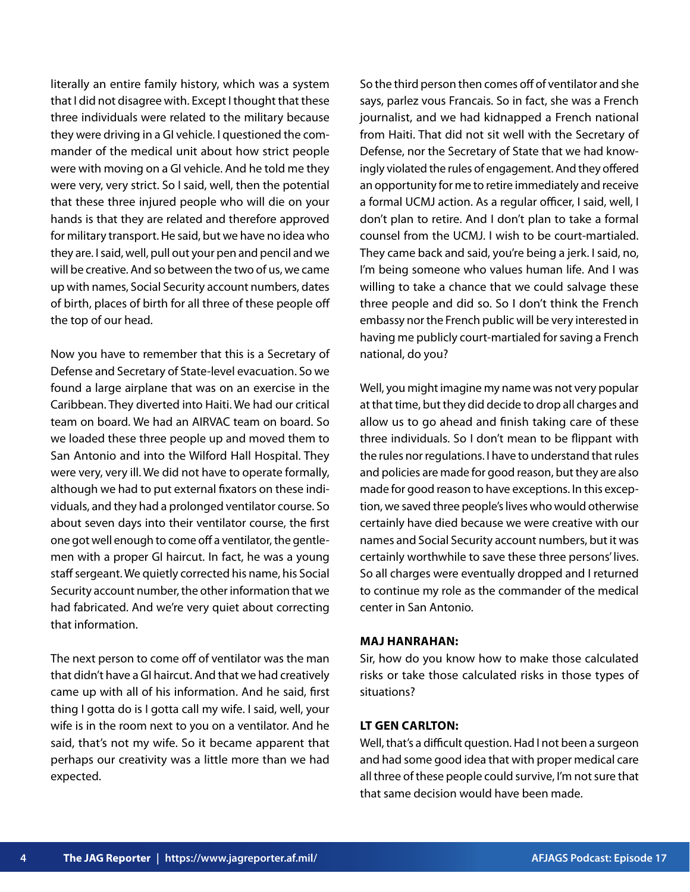literally an entire family history, which was a system that I did not disagree with. Except I thought that these three individuals were related to the military because they were driving in a GI vehicle. I questioned the commander of the medical unit about how strict people were with moving on a GI vehicle. And he told me they were very, very strict. So I said, well, then the potential that these three injured people who will die on your hands is that they are related and therefore approved for military transport. He said, but we have no idea who they are. I said, well, pull out your pen and pencil and we will be creative. And so between the two of us, we came up with names, Social Security account numbers, dates of birth, places of birth for all three of these people off the top of our head.

Now you have to remember that this is a Secretary of Defense and Secretary of State-level evacuation. So we found a large airplane that was on an exercise in the Caribbean. They diverted into Haiti. We had our critical team on board. We had an AIRVAC team on board. So we loaded these three people up and moved them to San Antonio and into the Wilford Hall Hospital. They were very, very ill. We did not have to operate formally, although we had to put external fixators on these individuals, and they had a prolonged ventilator course. So about seven days into their ventilator course, the first one got well enough to come off a ventilator, the gentlemen with a proper GI haircut. In fact, he was a young staff sergeant. We quietly corrected his name, his Social Security account number, the other information that we had fabricated. And we're very quiet about correcting that information.

The next person to come off of ventilator was the man that didn't have a GI haircut. And that we had creatively came up with all of his information. And he said, first thing I gotta do is I gotta call my wife. I said, well, your wife is in the room next to you on a ventilator. And he said, that's not my wife. So it became apparent that perhaps our creativity was a little more than we had expected.

So the third person then comes off of ventilator and she says, parlez vous Francais. So in fact, she was a French journalist, and we had kidnapped a French national from Haiti. That did not sit well with the Secretary of Defense, nor the Secretary of State that we had knowingly violated the rules of engagement. And they offered an opportunity for me to retire immediately and receive a formal UCMJ action. As a regular officer, I said, well, I don't plan to retire. And I don't plan to take a formal counsel from the UCMJ. I wish to be court-martialed. They came back and said, you're being a jerk. I said, no, I'm being someone who values human life. And I was willing to take a chance that we could salvage these three people and did so. So I don't think the French embassy nor the French public will be very interested in having me publicly court-martialed for saving a French national, do you?

Well, you might imagine my name was not very popular at that time, but they did decide to drop all charges and allow us to go ahead and finish taking care of these three individuals. So I don't mean to be flippant with the rules nor regulations. I have to understand that rules and policies are made for good reason, but they are also made for good reason to have exceptions. In this exception, we saved three people's lives who would otherwise certainly have died because we were creative with our names and Social Security account numbers, but it was certainly worthwhile to save these three persons' lives. So all charges were eventually dropped and I returned to continue my role as the commander of the medical center in San Antonio.

#### **MAJ HANRAHAN:**

Sir, how do you know how to make those calculated risks or take those calculated risks in those types of situations?

#### **LT GEN CARLTON:**

Well, that's a difficult question. Had I not been a surgeon and had some good idea that with proper medical care all three of these people could survive, I'm not sure that that same decision would have been made.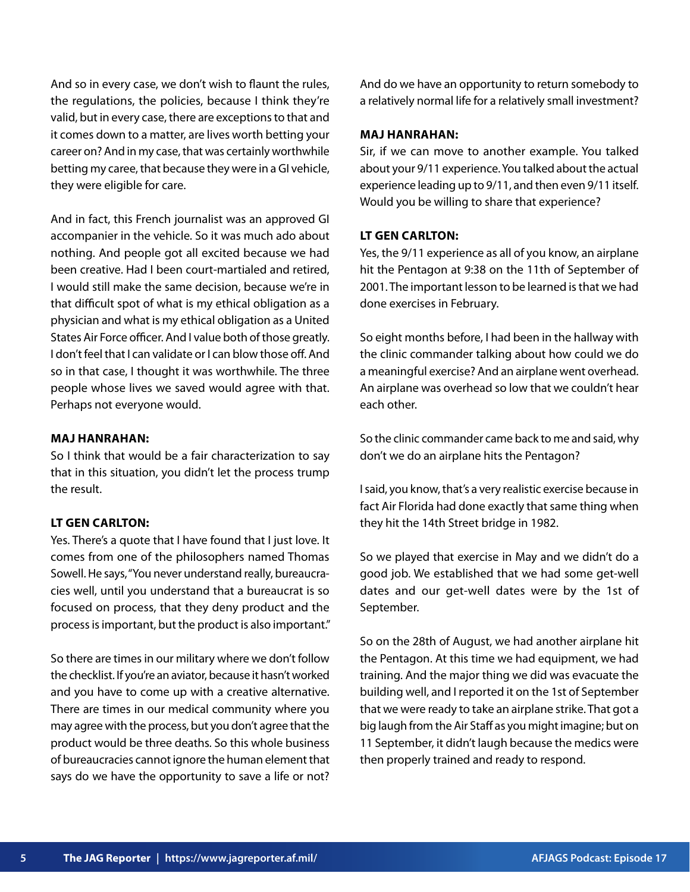And so in every case, we don't wish to flaunt the rules, the regulations, the policies, because I think they're valid, but in every case, there are exceptions to that and it comes down to a matter, are lives worth betting your career on? And in my case, that was certainly worthwhile betting my caree, that because they were in a GI vehicle, they were eligible for care.

And in fact, this French journalist was an approved GI accompanier in the vehicle. So it was much ado about nothing. And people got all excited because we had been creative. Had I been court-martialed and retired, I would still make the same decision, because we're in that difficult spot of what is my ethical obligation as a physician and what is my ethical obligation as a United States Air Force officer. And I value both of those greatly. I don't feel that I can validate or I can blow those off. And so in that case, I thought it was worthwhile. The three people whose lives we saved would agree with that. Perhaps not everyone would.

#### **MAJ HANRAHAN:**

So I think that would be a fair characterization to say that in this situation, you didn't let the process trump the result.

# **LT GEN CARLTON:**

Yes. There's a quote that I have found that I just love. It comes from one of the philosophers named Thomas Sowell. He says, "You never understand really, bureaucracies well, until you understand that a bureaucrat is so focused on process, that they deny product and the process is important, but the product is also important."

So there are times in our military where we don't follow the checklist. If you're an aviator, because it hasn't worked and you have to come up with a creative alternative. There are times in our medical community where you may agree with the process, but you don't agree that the product would be three deaths. So this whole business of bureaucracies cannot ignore the human element that says do we have the opportunity to save a life or not?

And do we have an opportunity to return somebody to a relatively normal life for a relatively small investment?

#### **MAJ HANRAHAN:**

Sir, if we can move to another example. You talked about your 9/11 experience. You talked about the actual experience leading up to 9/11, and then even 9/11 itself. Would you be willing to share that experience?

# **LT GEN CARLTON:**

Yes, the 9/11 experience as all of you know, an airplane hit the Pentagon at 9:38 on the 11th of September of 2001. The important lesson to be learned is that we had done exercises in February.

So eight months before, I had been in the hallway with the clinic commander talking about how could we do a meaningful exercise? And an airplane went overhead. An airplane was overhead so low that we couldn't hear each other.

So the clinic commander came back to me and said, why don't we do an airplane hits the Pentagon?

I said, you know, that's a very realistic exercise because in fact Air Florida had done exactly that same thing when they hit the 14th Street bridge in 1982.

So we played that exercise in May and we didn't do a good job. We established that we had some get-well dates and our get-well dates were by the 1st of September.

So on the 28th of August, we had another airplane hit the Pentagon. At this time we had equipment, we had training. And the major thing we did was evacuate the building well, and I reported it on the 1st of September that we were ready to take an airplane strike. That got a big laugh from the Air Staff as you might imagine; but on 11 September, it didn't laugh because the medics were then properly trained and ready to respond.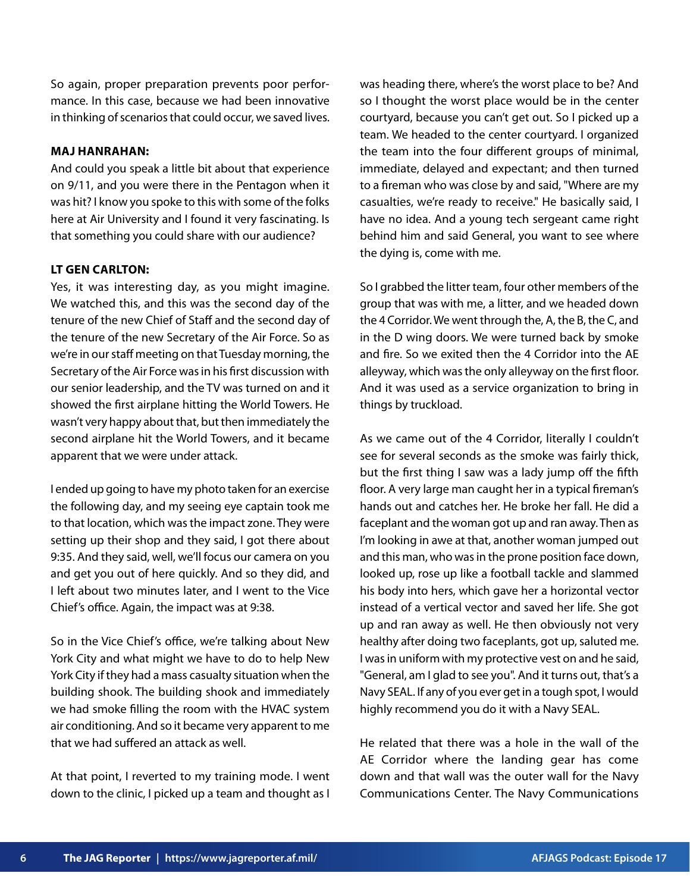So again, proper preparation prevents poor performance. In this case, because we had been innovative in thinking of scenarios that could occur, we saved lives.

#### **MAJ HANRAHAN:**

And could you speak a little bit about that experience on 9/11, and you were there in the Pentagon when it was hit? I know you spoke to this with some of the folks here at Air University and I found it very fascinating. Is that something you could share with our audience?

# **LT GEN CARLTON:**

Yes, it was interesting day, as you might imagine. We watched this, and this was the second day of the tenure of the new Chief of Staff and the second day of the tenure of the new Secretary of the Air Force. So as we're in our staff meeting on that Tuesday morning, the Secretary of the Air Force was in his first discussion with our senior leadership, and the TV was turned on and it showed the first airplane hitting the World Towers. He wasn't very happy about that, but then immediately the second airplane hit the World Towers, and it became apparent that we were under attack.

I ended up going to have my photo taken for an exercise the following day, and my seeing eye captain took me to that location, which was the impact zone. They were setting up their shop and they said, I got there about 9:35. And they said, well, we'll focus our camera on you and get you out of here quickly. And so they did, and I left about two minutes later, and I went to the Vice Chief's office. Again, the impact was at 9:38.

So in the Vice Chief's office, we're talking about New York City and what might we have to do to help New York City if they had a mass casualty situation when the building shook. The building shook and immediately we had smoke filling the room with the HVAC system air conditioning. And so it became very apparent to me that we had suffered an attack as well.

At that point, I reverted to my training mode. I went down to the clinic, I picked up a team and thought as I was heading there, where's the worst place to be? And so I thought the worst place would be in the center courtyard, because you can't get out. So I picked up a team. We headed to the center courtyard. I organized the team into the four different groups of minimal, immediate, delayed and expectant; and then turned to a fireman who was close by and said, "Where are my casualties, we're ready to receive." He basically said, I have no idea. And a young tech sergeant came right behind him and said General, you want to see where the dying is, come with me.

So I grabbed the litter team, four other members of the group that was with me, a litter, and we headed down the 4 Corridor. We went through the, A, the B, the C, and in the D wing doors. We were turned back by smoke and fire. So we exited then the 4 Corridor into the AE alleyway, which was the only alleyway on the first floor. And it was used as a service organization to bring in things by truckload.

As we came out of the 4 Corridor, literally I couldn't see for several seconds as the smoke was fairly thick, but the first thing I saw was a lady jump off the fifth floor. A very large man caught her in a typical fireman's hands out and catches her. He broke her fall. He did a faceplant and the woman got up and ran away. Then as I'm looking in awe at that, another woman jumped out and this man, who was in the prone position face down, looked up, rose up like a football tackle and slammed his body into hers, which gave her a horizontal vector instead of a vertical vector and saved her life. She got up and ran away as well. He then obviously not very healthy after doing two faceplants, got up, saluted me. I was in uniform with my protective vest on and he said, "General, am I glad to see you". And it turns out, that's a Navy SEAL. If any of you ever get in a tough spot, I would highly recommend you do it with a Navy SEAL.

He related that there was a hole in the wall of the AE Corridor where the landing gear has come down and that wall was the outer wall for the Navy Communications Center. The Navy Communications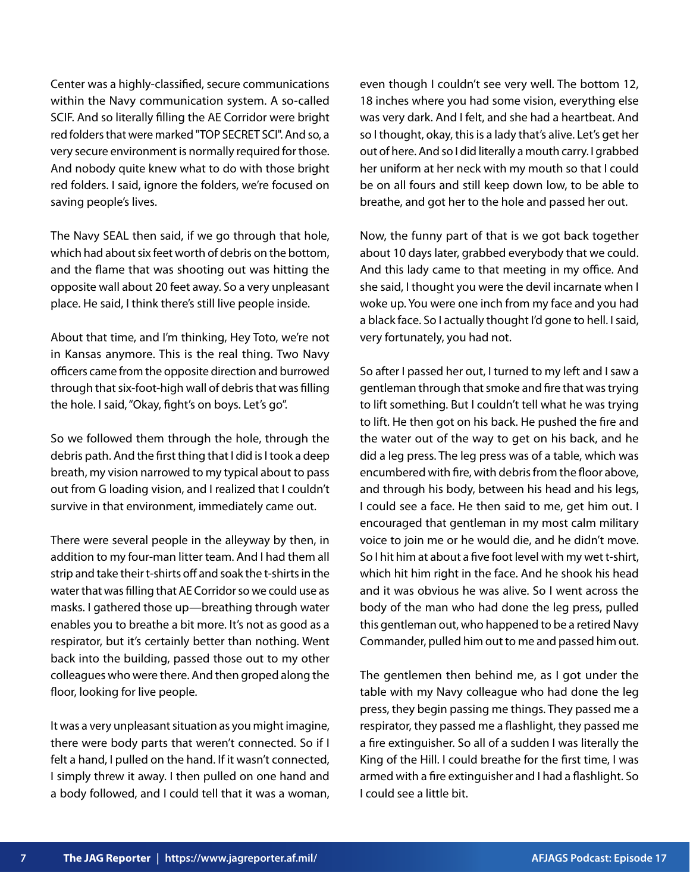Center was a highly-classified, secure communications within the Navy communication system. A so-called SCIF. And so literally filling the AE Corridor were bright red folders that were marked "TOP SECRET SCI". And so, a very secure environment is normally required for those. And nobody quite knew what to do with those bright red folders. I said, ignore the folders, we're focused on saving people's lives.

The Navy SEAL then said, if we go through that hole, which had about six feet worth of debris on the bottom, and the flame that was shooting out was hitting the opposite wall about 20 feet away. So a very unpleasant place. He said, I think there's still live people inside.

About that time, and I'm thinking, Hey Toto, we're not in Kansas anymore. This is the real thing. Two Navy officers came from the opposite direction and burrowed through that six-foot-high wall of debris that was filling the hole. I said, "Okay, fight's on boys. Let's go".

So we followed them through the hole, through the debris path. And the first thing that I did is I took a deep breath, my vision narrowed to my typical about to pass out from G loading vision, and I realized that I couldn't survive in that environment, immediately came out.

There were several people in the alleyway by then, in addition to my four-man litter team. And I had them all strip and take their t-shirts off and soak the t-shirts in the water that was filling that AE Corridor so we could use as masks. I gathered those up—breathing through water enables you to breathe a bit more. It's not as good as a respirator, but it's certainly better than nothing. Went back into the building, passed those out to my other colleagues who were there. And then groped along the floor, looking for live people.

It was a very unpleasant situation as you might imagine, there were body parts that weren't connected. So if I felt a hand, I pulled on the hand. If it wasn't connected, I simply threw it away. I then pulled on one hand and a body followed, and I could tell that it was a woman,

even though I couldn't see very well. The bottom 12, 18 inches where you had some vision, everything else was very dark. And I felt, and she had a heartbeat. And so I thought, okay, this is a lady that's alive. Let's get her out of here. And so I did literally a mouth carry. I grabbed her uniform at her neck with my mouth so that I could be on all fours and still keep down low, to be able to breathe, and got her to the hole and passed her out.

Now, the funny part of that is we got back together about 10 days later, grabbed everybody that we could. And this lady came to that meeting in my office. And she said, I thought you were the devil incarnate when I woke up. You were one inch from my face and you had a black face. So I actually thought I'd gone to hell. I said, very fortunately, you had not.

So after I passed her out, I turned to my left and I saw a gentleman through that smoke and fire that was trying to lift something. But I couldn't tell what he was trying to lift. He then got on his back. He pushed the fire and the water out of the way to get on his back, and he did a leg press. The leg press was of a table, which was encumbered with fire, with debris from the floor above, and through his body, between his head and his legs, I could see a face. He then said to me, get him out. I encouraged that gentleman in my most calm military voice to join me or he would die, and he didn't move. So I hit him at about a five foot level with my wet t-shirt, which hit him right in the face. And he shook his head and it was obvious he was alive. So I went across the body of the man who had done the leg press, pulled this gentleman out, who happened to be a retired Navy Commander, pulled him out to me and passed him out.

The gentlemen then behind me, as I got under the table with my Navy colleague who had done the leg press, they begin passing me things. They passed me a respirator, they passed me a flashlight, they passed me a fire extinguisher. So all of a sudden I was literally the King of the Hill. I could breathe for the first time, I was armed with a fire extinguisher and I had a flashlight. So I could see a little bit.